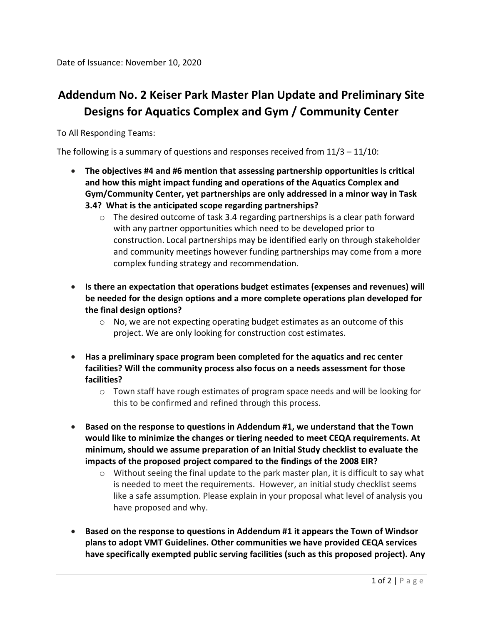Date of Issuance: November 10, 2020

## **Addendum No. 2 Keiser Park Master Plan Update and Preliminary Site Designs for Aquatics Complex and Gym / Community Center**

To All Responding Teams:

The following is a summary of questions and responses received from 11/3 – 11/10:

- **The objectives #4 and #6 mention that assessing partnership opportunities is critical and how this might impact funding and operations of the Aquatics Complex and Gym/Community Center, yet partnerships are only addressed in a minor way in Task 3.4? What is the anticipated scope regarding partnerships?**
	- o The desired outcome of task 3.4 regarding partnerships is a clear path forward with any partner opportunities which need to be developed prior to construction. Local partnerships may be identified early on through stakeholder and community meetings however funding partnerships may come from a more complex funding strategy and recommendation.
- **Is there an expectation that operations budget estimates (expenses and revenues) will be needed for the design options and a more complete operations plan developed for the final design options?**
	- o No, we are not expecting operating budget estimates as an outcome of this project. We are only looking for construction cost estimates.
- **Has a preliminary space program been completed for the aquatics and rec center facilities? Will the community process also focus on a needs assessment for those facilities?**
	- $\circ$  Town staff have rough estimates of program space needs and will be looking for this to be confirmed and refined through this process.
- **Based on the response to questions in Addendum #1, we understand that the Town would like to minimize the changes or tiering needed to meet CEQA requirements. At minimum, should we assume preparation of an Initial Study checklist to evaluate the impacts of the proposed project compared to the findings of the 2008 EIR?**
	- o Without seeing the final update to the park master plan, it is difficult to say what is needed to meet the requirements. However, an initial study checklist seems like a safe assumption. Please explain in your proposal what level of analysis you have proposed and why.
- **Based on the response to questions in Addendum #1 it appears the Town of Windsor plans to adopt VMT Guidelines. Other communities we have provided CEQA services have specifically exempted public serving facilities (such as this proposed project). Any**